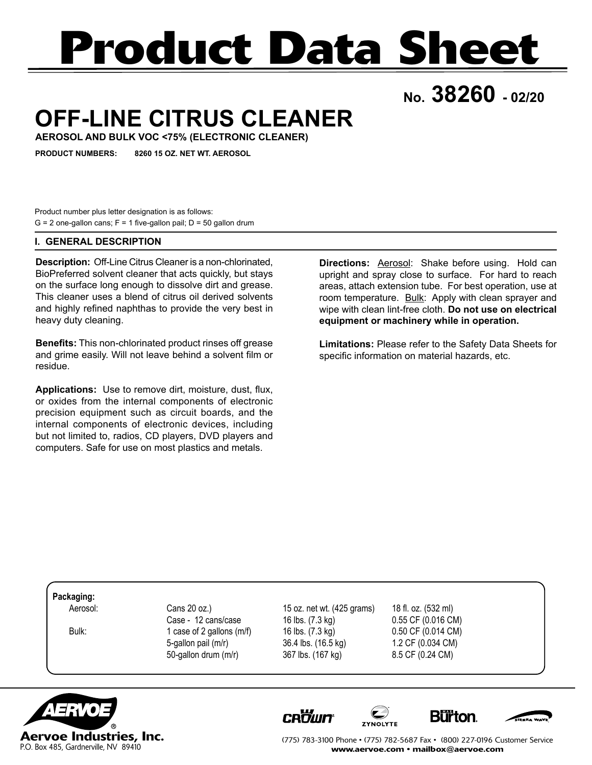# **Product Data Sheet**

**No. 38260 - 02/20**

## **OFF-LINE CITRUS CLEANER**

**AEROSOL AND BULK VOC <75% (ELECTRONIC CLEANER)**

**PRODUCT NUMBERS: 8260 15 OZ. NET WT. AEROSOL**

Product number plus letter designation is as follows:  $G = 2$  one-gallon cans;  $F = 1$  five-gallon pail;  $D = 50$  gallon drum

### **I. GENERAL DESCRIPTION**

**Description:** Off-Line Citrus Cleaner is a non-chlorinated, BioPreferred solvent cleaner that acts quickly, but stays on the surface long enough to dissolve dirt and grease. This cleaner uses a blend of citrus oil derived solvents and highly refined naphthas to provide the very best in heavy duty cleaning.

**Benefits:** This non-chlorinated product rinses off grease and grime easily. Will not leave behind a solvent film or residue.

**Applications:** Use to remove dirt, moisture, dust, flux, or oxides from the internal components of electronic precision equipment such as circuit boards, and the internal components of electronic devices, including but not limited to, radios, CD players, DVD players and computers. Safe for use on most plastics and metals.

**Directions:** Aerosol: Shake before using. Hold can upright and spray close to surface. For hard to reach areas, attach extension tube. For best operation, use at room temperature. Bulk: Apply with clean sprayer and wipe with clean lint-free cloth. **Do not use on electrical equipment or machinery while in operation.**

**Limitations:** Please refer to the Safety Data Sheets for specific information on material hazards, etc.

#### **Packaging:**

 Aerosol: Cans 20 oz.) 15 oz. net wt. (425 grams) 18 fl. oz. (532 ml) 50-gallon drum (m/r) 367 lbs. (167 kg) 8.5 CF (0.24 CM)

Case - 12 cans/case 16 lbs. (7.3 kg) 0.55 CF (0.016 CM) Bulk: 1 case of 2 gallons (m/f) 16 lbs. (7.3 kg) 0.50 CF (0.014 CM) 5-gallon pail (m/r) 36.4 lbs. (16.5 kg) 1.2 CF (0.034 CM)



**CROWN** 







(775) 783-3100 Phone • (775) 782-5687 Fax • (800) 227-0196 Customer Service www.aervoe.com • mailbox@aervoe.com